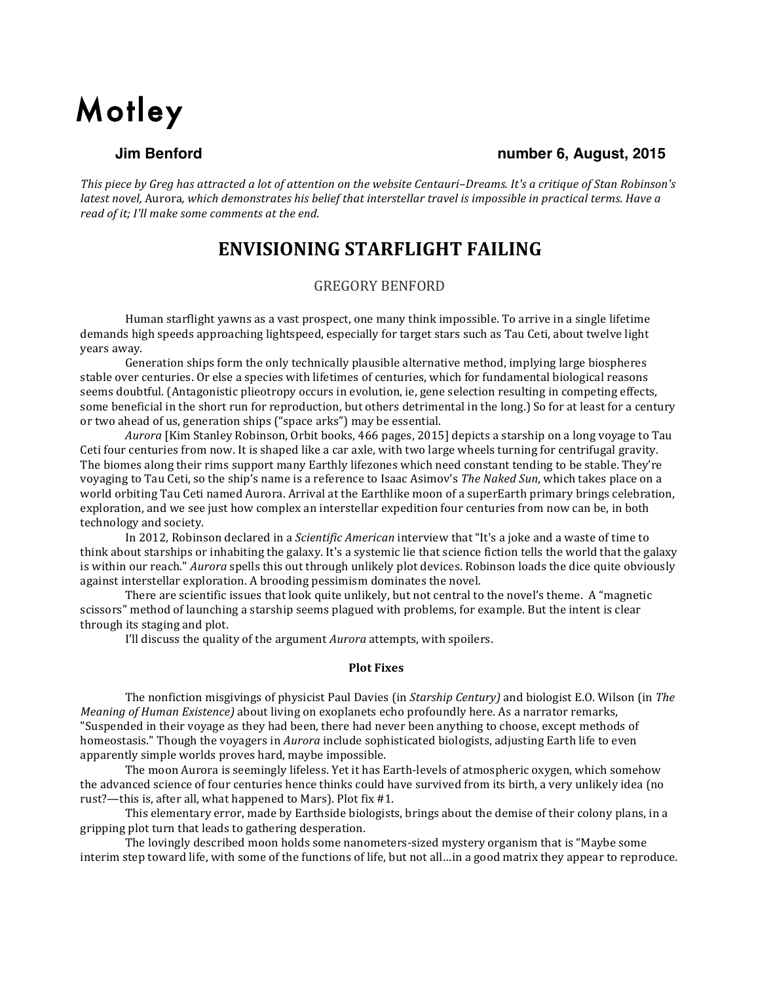# **Motley**

# **Jim Benford number 6, August, 2015**

This piece by Greg has attracted a lot of attention on the website Centauri–Dreams. It's a critique of Stan Robinson's *latest novel,* Aurora, which demonstrates his belief that interstellar travel is impossible in practical terms. Have a read of it: I'll make some comments at the end.

# **ENVISIONING STARFLIGHT FAILING**

# **GREGORY BENFORD**

Human starflight yawns as a vast prospect, one many think impossible. To arrive in a single lifetime demands high speeds approaching lightspeed, especially for target stars such as Tau Ceti, about twelve light years away.

Generation ships form the only technically plausible alternative method, implying large biospheres stable over centuries. Or else a species with lifetimes of centuries, which for fundamental biological reasons seems doubtful. (Antagonistic plieotropy occurs in evolution, ie, gene selection resulting in competing effects, some beneficial in the short run for reproduction, but others detrimental in the long.) So for at least for a century or two ahead of us, generation ships ("space arks") may be essential.

*Aurora* [Kim Stanley Robinson, Orbit books, 466 pages, 2015] depicts a starship on a long voyage to Tau Ceti four centuries from now. It is shaped like a car axle, with two large wheels turning for centrifugal gravity. The biomes along their rims support many Earthly lifezones which need constant tending to be stable. They're voyaging to Tau Ceti, so the ship's name is a reference to Isaac Asimov's The Naked Sun, which takes place on a world orbiting Tau Ceti named Aurora. Arrival at the Earthlike moon of a superEarth primary brings celebration, exploration, and we see just how complex an interstellar expedition four centuries from now can be, in both technology and society.

In 2012, Robinson declared in a *Scientific American* interview that "It's a joke and a waste of time to think about starships or inhabiting the galaxy. It's a systemic lie that science fiction tells the world that the galaxy is within our reach." *Aurora* spells this out through unlikely plot devices. Robinson loads the dice quite obviously against interstellar exploration. A brooding pessimism dominates the novel.

There are scientific issues that look quite unlikely, but not central to the novel's theme. A "magnetic scissors" method of launching a starship seems plagued with problems, for example. But the intent is clear through its staging and plot.

I'll discuss the quality of the argument *Aurora* attempts, with spoilers.

### **Plot Fixes**

The nonfiction misgivings of physicist Paul Davies (in *Starship Century*) and biologist E.O. Wilson (in *The Meaning of Human Existence*) about living on exoplanets echo profoundly here. As a narrator remarks, "Suspended in their voyage as they had been, there had never been anything to choose, except methods of homeostasis." Though the voyagers in *Aurora* include sophisticated biologists, adjusting Earth life to even apparently simple worlds proves hard, maybe impossible.

The moon Aurora is seemingly lifeless. Yet it has Earth-levels of atmospheric oxygen, which somehow the advanced science of four centuries hence thinks could have survived from its birth, a very unlikely idea (no rust?—this is, after all, what happened to Mars). Plot fix  $#1$ .

This elementary error, made by Earthside biologists, brings about the demise of their colony plans, in a gripping plot turn that leads to gathering desperation.

The lovingly described moon holds some nanometers-sized mystery organism that is "Maybe some interim step toward life, with some of the functions of life, but not all…in a good matrix they appear to reproduce.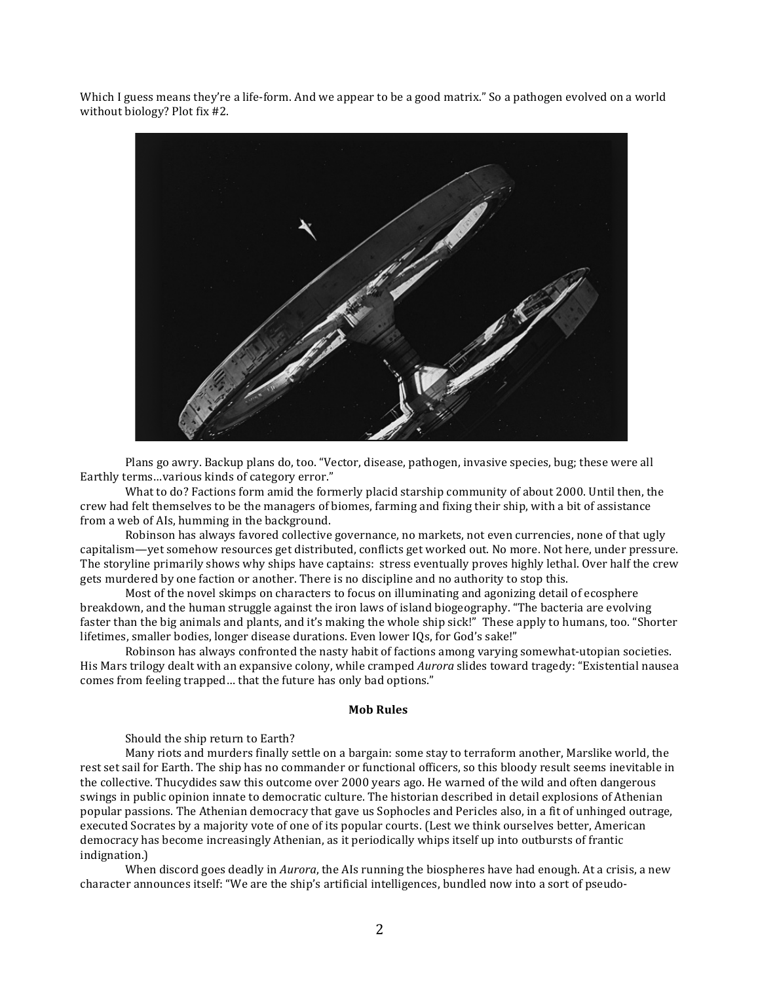Which I guess means they're a life-form. And we appear to be a good matrix." So a pathogen evolved on a world without biology? Plot fix #2.



Plans go awry. Backup plans do, too. "Vector, disease, pathogen, invasive species, bug; these were all Earthly terms...various kinds of category error."

What to do? Factions form amid the formerly placid starship community of about 2000. Until then, the crew had felt themselves to be the managers of biomes, farming and fixing their ship, with a bit of assistance from a web of AIs, humming in the background.

Robinson has always favored collective governance, no markets, not even currencies, none of that ugly capitalism—yet somehow resources get distributed, conflicts get worked out. No more. Not here, under pressure. The storyline primarily shows why ships have captains: stress eventually proves highly lethal. Over half the crew gets murdered by one faction or another. There is no discipline and no authority to stop this.

Most of the novel skimps on characters to focus on illuminating and agonizing detail of ecosphere breakdown, and the human struggle against the iron laws of island biogeography. "The bacteria are evolving faster than the big animals and plants, and it's making the whole ship sick!" These apply to humans, too. "Shorter lifetimes, smaller bodies, longer disease durations. Even lower IQs, for God's sake!"

Robinson has always confronted the nasty habit of factions among varying somewhat-utopian societies. His Mars trilogy dealt with an expansive colony, while cramped *Aurora* slides toward tragedy: "Existential nausea comes from feeling trapped... that the future has only bad options."

#### **Mob Rules**

Should the ship return to Earth?

Many riots and murders finally settle on a bargain: some stay to terraform another, Marslike world, the rest set sail for Earth. The ship has no commander or functional officers, so this bloody result seems inevitable in the collective. Thucydides saw this outcome over 2000 years ago. He warned of the wild and often dangerous swings in public opinion innate to democratic culture. The historian described in detail explosions of Athenian popular passions. The Athenian democracy that gave us Sophocles and Pericles also, in a fit of unhinged outrage, executed Socrates by a majority vote of one of its popular courts. (Lest we think ourselves better, American democracy has become increasingly Athenian, as it periodically whips itself up into outbursts of frantic indignation.) 

When discord goes deadly in *Aurora*, the AIs running the biospheres have had enough. At a crisis, a new character announces itself: "We are the ship's artificial intelligences, bundled now into a sort of pseudo-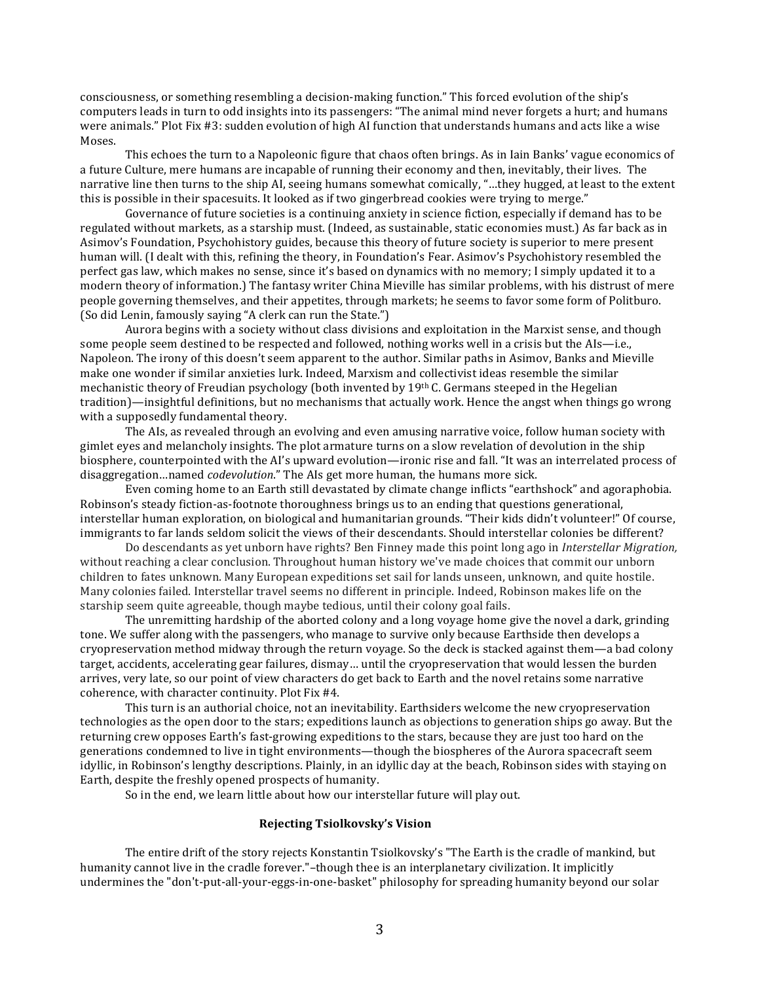consciousness, or something resembling a decision-making function." This forced evolution of the ship's computers leads in turn to odd insights into its passengers: "The animal mind never forgets a hurt; and humans were animals." Plot Fix #3: sudden evolution of high AI function that understands humans and acts like a wise Moses.

This echoes the turn to a Napoleonic figure that chaos often brings. As in Iain Banks' vague economics of a future Culture, mere humans are incapable of running their economy and then, inevitably, their lives. The narrative line then turns to the ship AI, seeing humans somewhat comically, "...they hugged, at least to the extent this is possible in their spacesuits. It looked as if two gingerbread cookies were trying to merge."

Governance of future societies is a continuing anxiety in science fiction, especially if demand has to be regulated without markets, as a starship must. (Indeed, as sustainable, static economies must.) As far back as in Asimov's Foundation, Psychohistory guides, because this theory of future society is superior to mere present human will. (I dealt with this, refining the theory, in Foundation's Fear. Asimov's Psychohistory resembled the perfect gas law, which makes no sense, since it's based on dynamics with no memory; I simply updated it to a modern theory of information.) The fantasy writer China Mieville has similar problems, with his distrust of mere people governing themselves, and their appetites, through markets; he seems to favor some form of Politburo. (So did Lenin, famously saying "A clerk can run the State.")

Aurora begins with a society without class divisions and exploitation in the Marxist sense, and though some people seem destined to be respected and followed, nothing works well in a crisis but the AIs—i.e., Napoleon. The irony of this doesn't seem apparent to the author. Similar paths in Asimov, Banks and Mieville make one wonder if similar anxieties lurk. Indeed, Marxism and collectivist ideas resemble the similar mechanistic theory of Freudian psychology (both invented by  $19<sup>th</sup>$  C. Germans steeped in the Hegelian tradition)—insightful definitions, but no mechanisms that actually work. Hence the angst when things go wrong with a supposedly fundamental theory.

The AIs, as revealed through an evolving and even amusing narrative voice, follow human society with gimlet eyes and melancholy insights. The plot armature turns on a slow revelation of devolution in the ship biosphere, counterpointed with the AI's upward evolution—ironic rise and fall. "It was an interrelated process of disaggregation...named *codevolution*." The AIs get more human, the humans more sick.

Even coming home to an Earth still devastated by climate change inflicts "earthshock" and agoraphobia. Robinson's steady fiction-as-footnote thoroughness brings us to an ending that questions generational, interstellar human exploration, on biological and humanitarian grounds. "Their kids didn't volunteer!" Of course, immigrants to far lands seldom solicit the views of their descendants. Should interstellar colonies be different?

Do descendants as yet unborn have rights? Ben Finney made this point long ago in *Interstellar Migration*, without reaching a clear conclusion. Throughout human history we've made choices that commit our unborn children to fates unknown. Many European expeditions set sail for lands unseen, unknown, and quite hostile. Many colonies failed. Interstellar travel seems no different in principle. Indeed, Robinson makes life on the starship seem quite agreeable, though maybe tedious, until their colony goal fails.

The unremitting hardship of the aborted colony and a long voyage home give the novel a dark, grinding tone. We suffer along with the passengers, who manage to survive only because Earthside then develops a cryopreservation method midway through the return voyage. So the deck is stacked against them—a bad colony target, accidents, accelerating gear failures, dismay... until the cryopreservation that would lessen the burden arrives, very late, so our point of view characters do get back to Earth and the novel retains some narrative coherence, with character continuity. Plot Fix #4.

This turn is an authorial choice, not an inevitability. Earthsiders welcome the new cryopreservation technologies as the open door to the stars; expeditions launch as objections to generation ships go away. But the returning crew opposes Earth's fast-growing expeditions to the stars, because they are just too hard on the generations condemned to live in tight environments—though the biospheres of the Aurora spacecraft seem idyllic, in Robinson's lengthy descriptions. Plainly, in an idyllic day at the beach, Robinson sides with staying on Earth, despite the freshly opened prospects of humanity.

So in the end, we learn little about how our interstellar future will play out.

#### **Rejecting Tsiolkovsky's Vision**

The entire drift of the story rejects Konstantin Tsiolkovsky's "The Earth is the cradle of mankind, but humanity cannot live in the cradle forever."–though thee is an interplanetary civilization. It implicitly undermines the "don't-put-all-your-eggs-in-one-basket" philosophy for spreading humanity beyond our solar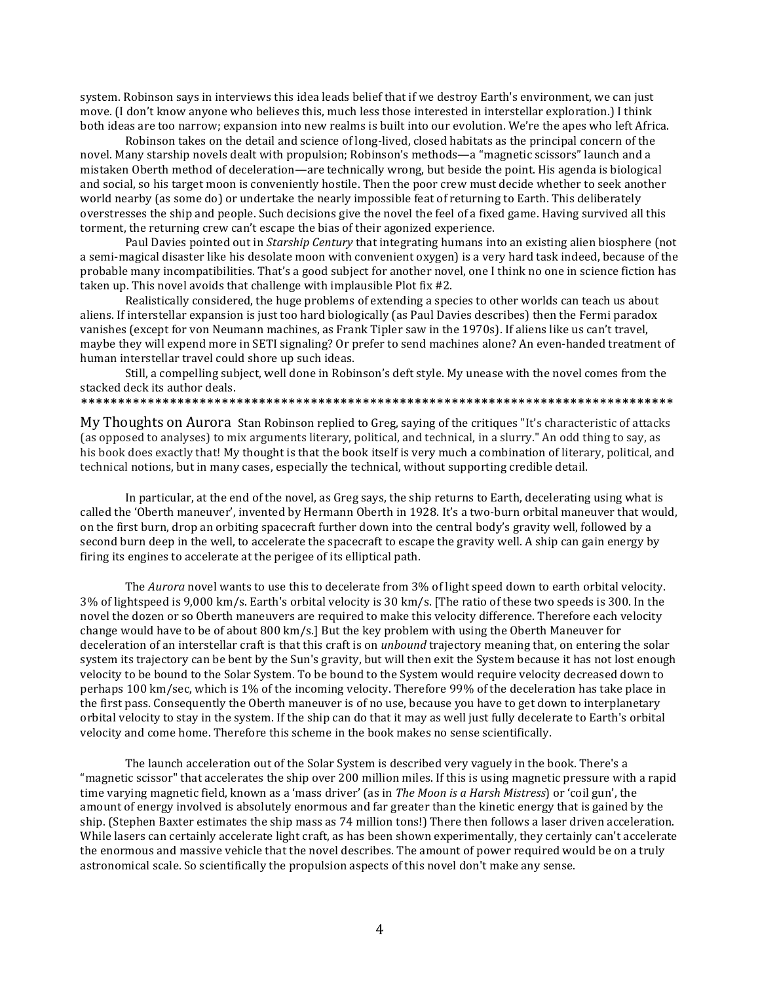system. Robinson says in interviews this idea leads belief that if we destroy Earth's environment, we can just move. (I don't know anyone who believes this, much less those interested in interstellar exploration.) I think both ideas are too narrow; expansion into new realms is built into our evolution. We're the apes who left Africa.

Robinson takes on the detail and science of long-lived, closed habitats as the principal concern of the novel. Many starship novels dealt with propulsion; Robinson's methods—a "magnetic scissors" launch and a mistaken Oberth method of deceleration—are technically wrong, but beside the point. His agenda is biological and social, so his target moon is conveniently hostile. Then the poor crew must decide whether to seek another world nearby (as some do) or undertake the nearly impossible feat of returning to Earth. This deliberately overstresses the ship and people. Such decisions give the novel the feel of a fixed game. Having survived all this torment, the returning crew can't escape the bias of their agonized experience.

Paul Davies pointed out in *Starship Century* that integrating humans into an existing alien biosphere (not a semi-magical disaster like his desolate moon with convenient oxygen) is a very hard task indeed, because of the probable many incompatibilities. That's a good subject for another novel, one I think no one in science fiction has taken up. This novel avoids that challenge with implausible  $Plot$  fix  $#2$ .

Realistically considered, the huge problems of extending a species to other worlds can teach us about aliens. If interstellar expansion is just too hard biologically (as Paul Davies describes) then the Fermi paradox vanishes (except for von Neumann machines, as Frank Tipler saw in the 1970s). If aliens like us can't travel, maybe they will expend more in SETI signaling? Or prefer to send machines alone? An even-handed treatment of human interstellar travel could shore up such ideas.

Still, a compelling subject, well done in Robinson's deft style. My unease with the novel comes from the stacked deck its author deals.

\*\*\*\*\*\*\*\*\*\*\*\*\*\*\*\*\*\*\*\*\*\*\*\*\*\*\*\*\*\*\*\*\*\*\*\*\*\*\*\*\*\*\*\*\*\*\*\*\*\*\*\*\*\*\*\*\*\*\*\*\*\*\*\*\*\*\*\*\*\*\*\*\*\*\*\*\*\*\*\*

My Thoughts on Aurora Stan Robinson replied to Greg, saying of the critiques "It's characteristic of attacks (as opposed to analyses) to mix arguments literary, political, and technical, in a slurry." An odd thing to say, as his book does exactly that! My thought is that the book itself is very much a combination of literary, political, and technical notions, but in many cases, especially the technical, without supporting credible detail.

In particular, at the end of the novel, as Greg says, the ship returns to Earth, decelerating using what is called the 'Oberth maneuver', invented by Hermann Oberth in 1928. It's a two-burn orbital maneuver that would, on the first burn, drop an orbiting spacecraft further down into the central body's gravity well, followed by a second burn deep in the well, to accelerate the spacecraft to escape the gravity well. A ship can gain energy by firing its engines to accelerate at the perigee of its elliptical path.

The *Aurora* novel wants to use this to decelerate from 3% of light speed down to earth orbital velocity.  $3\%$  of lightspeed is  $9,000$  km/s. Earth's orbital velocity is  $30$  km/s. [The ratio of these two speeds is  $300$ . In the novel the dozen or so Oberth maneuvers are required to make this velocity difference. Therefore each velocity change would have to be of about 800 km/s.] But the key problem with using the Oberth Maneuver for deceleration of an interstellar craft is that this craft is on *unbound* trajectory meaning that, on entering the solar system its trajectory can be bent by the Sun's gravity, but will then exit the System because it has not lost enough velocity to be bound to the Solar System. To be bound to the System would require velocity decreased down to perhaps 100 km/sec, which is 1% of the incoming velocity. Therefore 99% of the deceleration has take place in the first pass. Consequently the Oberth maneuver is of no use, because you have to get down to interplanetary orbital velocity to stay in the system. If the ship can do that it may as well just fully decelerate to Earth's orbital velocity and come home. Therefore this scheme in the book makes no sense scientifically.

The launch acceleration out of the Solar System is described very vaguely in the book. There's a "magnetic scissor" that accelerates the ship over 200 million miles. If this is using magnetic pressure with a rapid time varying magnetic field, known as a 'mass driver' (as in *The Moon is a Harsh Mistress*) or 'coil gun', the amount of energy involved is absolutely enormous and far greater than the kinetic energy that is gained by the ship. (Stephen Baxter estimates the ship mass as 74 million tons!) There then follows a laser driven acceleration. While lasers can certainly accelerate light craft, as has been shown experimentally, they certainly can't accelerate the enormous and massive vehicle that the novel describes. The amount of power required would be on a truly astronomical scale. So scientifically the propulsion aspects of this novel don't make any sense.